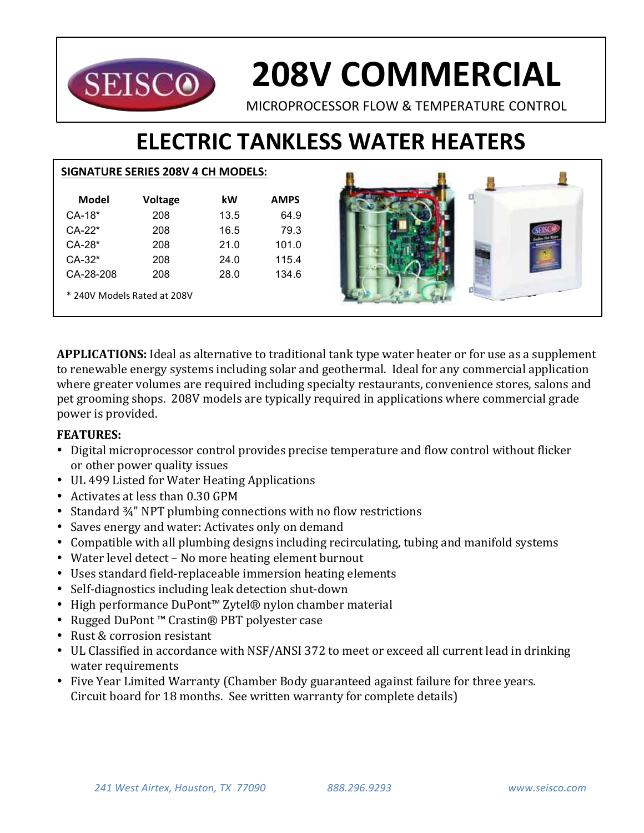

# **208V COMMERCIAL**

MICROPROCESSOR FLOW & TEMPERATURE CONTROL

# **ELECTRIC TANKLESS WATER HEATERS**

### **SIGNATURE SERIES 208V 4 CH MODELS:**

| Model                       | <b>Voltage</b> | kW   | <b>AMPS</b> |  |  |  |  |
|-----------------------------|----------------|------|-------------|--|--|--|--|
| $CA-18*$                    | 208            | 13.5 | 64.9        |  |  |  |  |
| $CA-22*$                    | 208            | 16.5 | 79.3        |  |  |  |  |
| $CA-28*$                    | 208            | 21.0 | 101.0       |  |  |  |  |
| $CA-32*$                    | 208            | 24.0 | 115.4       |  |  |  |  |
| CA-28-208                   | 208            | 28.0 | 134.6       |  |  |  |  |
| * 240V Models Rated at 208V |                |      |             |  |  |  |  |



**APPLICATIONS:** Ideal as alternative to traditional tank type water heater or for use as a supplement to renewable energy systems including solar and geothermal. Ideal for any commercial application where greater volumes are required including specialty restaurants, convenience stores, salons and pet grooming shops. 208V models are typically required in applications where commercial grade power is provided.

## **FEATURES:**

- Digital microprocessor control provides precise temperature and flow control without flicker or other power quality issues
- UL 499 Listed for Water Heating Applications
- Activates at less than 0.30 GPM
- Standard  $\frac{3}{4}$ " NPT plumbing connections with no flow restrictions
- Saves energy and water: Activates only on demand
- Compatible with all plumbing designs including recirculating, tubing and manifold systems
- Water level detect No more heating element burnout
- Uses standard field-replaceable immersion heating elements
- Self-diagnostics including leak detection shut-down
- High performance DuPont™ Zytel® nylon chamber material
- Rugged DuPont™ Crastin® PBT polyester case
- Rust & corrosion resistant
- UL Classified in accordance with NSF/ANSI 372 to meet or exceed all current lead in drinking water requirements
- Five Year Limited Warranty (Chamber Body guaranteed against failure for three years. Circuit board for 18 months. See written warranty for complete details)